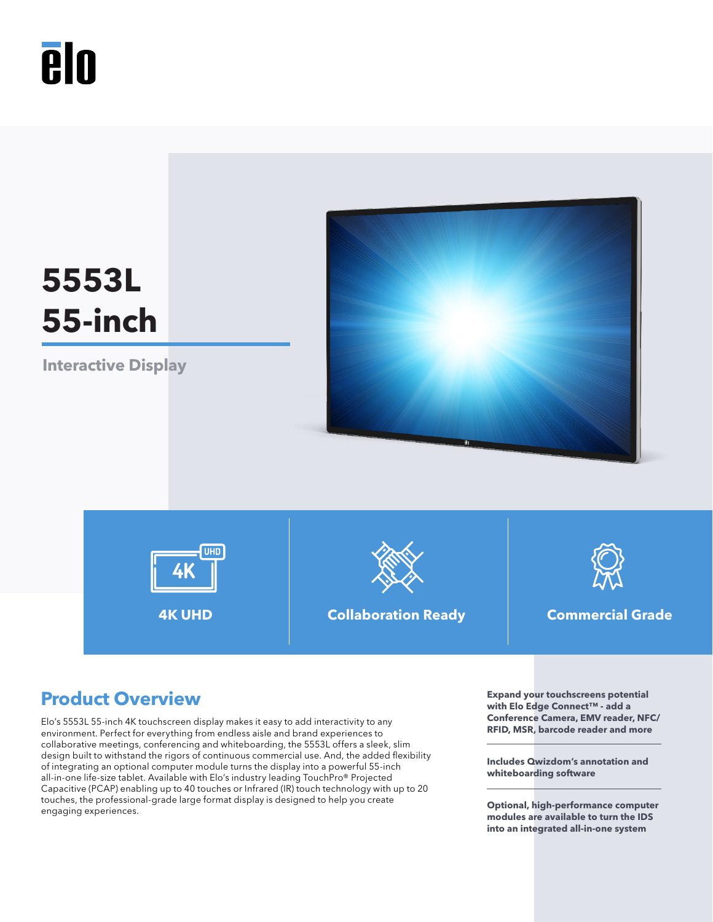# **A**lo



# **Product Overview Expand your touchscreens potential**

Elo's 5553L 55-inch 4K touchscreen display makes it easy to add interactivity to any environment. Perfect for everything from endless aisle and brand experiences to collaborative meetings, conferencing and whiteboarding, the 5553L offers a sleek, slim design built to withstand the rigors of continuous commercial use. And, the added flexibility of integrating an optional computer module turns the display into a powerful 55-inch all-in-one life-size tablet. Available with Elo's industry leading TouchPro® Projected Capacitive (PCAP) enabling up to 40 touches or Infrared (IR) touch technology with up to 20 touches, the professional-grade large format display is designed to help you create engaging experiences.

**with Elo Edge Connect™ - add a Conference Camera, EMV reader, NFC/ RFID, MSR, barcode reader and more**

**Includes Qwizdom's annotation and whiteboarding software**

**Optional, high-performance computer modules are available to turn the IDS into an integrated all-in-one system**